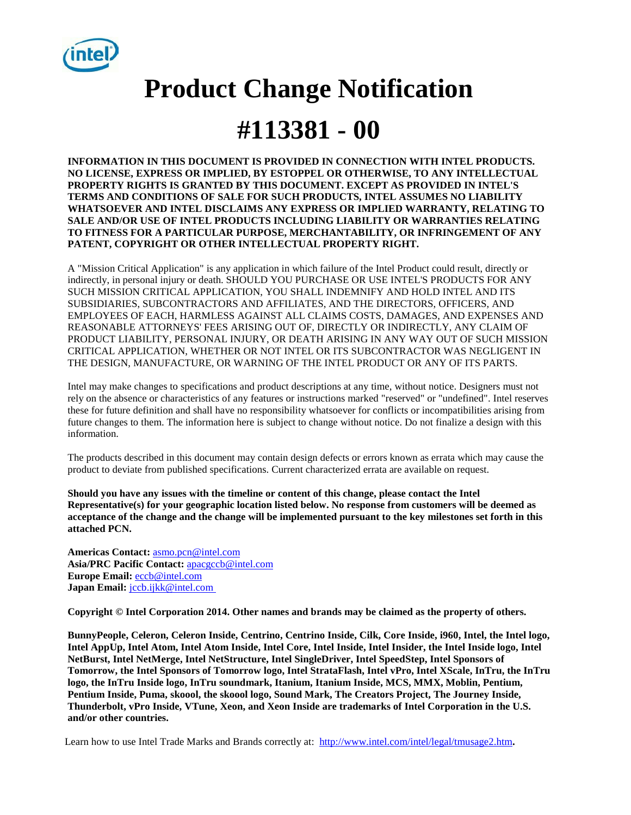

# **Product Change Notification #113381 - 00**

**INFORMATION IN THIS DOCUMENT IS PROVIDED IN CONNECTION WITH INTEL PRODUCTS. NO LICENSE, EXPRESS OR IMPLIED, BY ESTOPPEL OR OTHERWISE, TO ANY INTELLECTUAL PROPERTY RIGHTS IS GRANTED BY THIS DOCUMENT. EXCEPT AS PROVIDED IN INTEL'S TERMS AND CONDITIONS OF SALE FOR SUCH PRODUCTS, INTEL ASSUMES NO LIABILITY WHATSOEVER AND INTEL DISCLAIMS ANY EXPRESS OR IMPLIED WARRANTY, RELATING TO SALE AND/OR USE OF INTEL PRODUCTS INCLUDING LIABILITY OR WARRANTIES RELATING TO FITNESS FOR A PARTICULAR PURPOSE, MERCHANTABILITY, OR INFRINGEMENT OF ANY PATENT, COPYRIGHT OR OTHER INTELLECTUAL PROPERTY RIGHT.** 

A "Mission Critical Application" is any application in which failure of the Intel Product could result, directly or indirectly, in personal injury or death. SHOULD YOU PURCHASE OR USE INTEL'S PRODUCTS FOR ANY SUCH MISSION CRITICAL APPLICATION, YOU SHALL INDEMNIFY AND HOLD INTEL AND ITS SUBSIDIARIES, SUBCONTRACTORS AND AFFILIATES, AND THE DIRECTORS, OFFICERS, AND EMPLOYEES OF EACH, HARMLESS AGAINST ALL CLAIMS COSTS, DAMAGES, AND EXPENSES AND REASONABLE ATTORNEYS' FEES ARISING OUT OF, DIRECTLY OR INDIRECTLY, ANY CLAIM OF PRODUCT LIABILITY, PERSONAL INJURY, OR DEATH ARISING IN ANY WAY OUT OF SUCH MISSION CRITICAL APPLICATION, WHETHER OR NOT INTEL OR ITS SUBCONTRACTOR WAS NEGLIGENT IN THE DESIGN, MANUFACTURE, OR WARNING OF THE INTEL PRODUCT OR ANY OF ITS PARTS.

Intel may make changes to specifications and product descriptions at any time, without notice. Designers must not rely on the absence or characteristics of any features or instructions marked "reserved" or "undefined". Intel reserves these for future definition and shall have no responsibility whatsoever for conflicts or incompatibilities arising from future changes to them. The information here is subject to change without notice. Do not finalize a design with this information.

The products described in this document may contain design defects or errors known as errata which may cause the product to deviate from published specifications. Current characterized errata are available on request.

**Should you have any issues with the timeline or content of this change, please contact the Intel Representative(s) for your geographic location listed below. No response from customers will be deemed as acceptance of the change and the change will be implemented pursuant to the key milestones set forth in this attached PCN.**

**Americas Contact:** [asmo.pcn@intel.com](mailto:asmo.pcn@intel.com)  **Asia/PRC Pacific Contact:** [apacgccb@intel.com](mailto:apacgccb@intel.com) **Europe Email:** [eccb@intel.com](mailto:eccb@intel.com)  Japan Email: *jccb.ijkk@intel.com* 

**Copyright © Intel Corporation 2014. Other names and brands may be claimed as the property of others.**

**BunnyPeople, Celeron, Celeron Inside, Centrino, Centrino Inside, Cilk, Core Inside, i960, Intel, the Intel logo, Intel AppUp, Intel Atom, Intel Atom Inside, Intel Core, Intel Inside, Intel Insider, the Intel Inside logo, Intel NetBurst, Intel NetMerge, Intel NetStructure, Intel SingleDriver, Intel SpeedStep, Intel Sponsors of Tomorrow, the Intel Sponsors of Tomorrow logo, Intel StrataFlash, Intel vPro, Intel XScale, InTru, the InTru logo, the InTru Inside logo, InTru soundmark, Itanium, Itanium Inside, MCS, MMX, Moblin, Pentium, Pentium Inside, Puma, skoool, the skoool logo, Sound Mark, The Creators Project, The Journey Inside, Thunderbolt, vPro Inside, VTune, Xeon, and Xeon Inside are trademarks of Intel Corporation in the U.S. and/or other countries.**

Learn how to use Intel Trade Marks and Brands correctly at: <http://www.intel.com/intel/legal/tmusage2.htm>.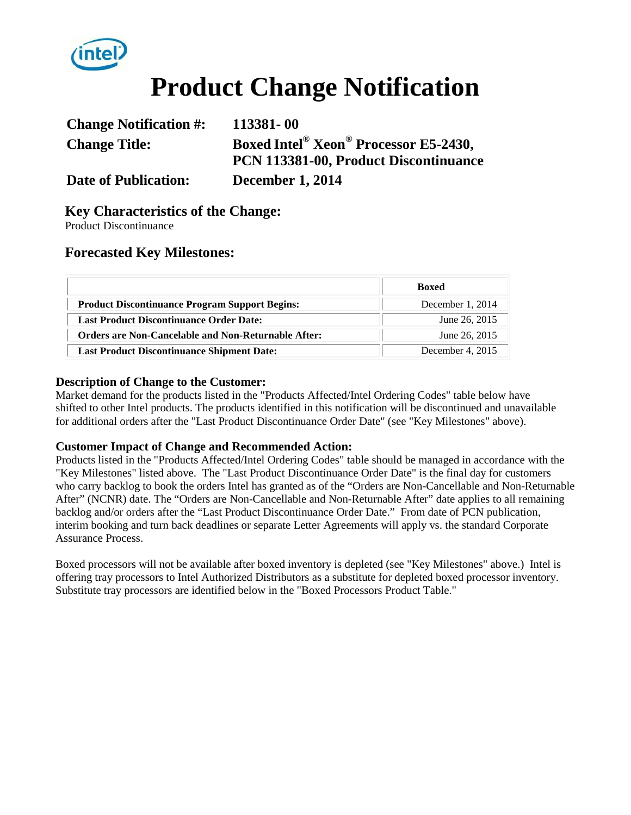

# **Product Change Notification**

| <b>Change Notification #:</b> | 113381-00                             |
|-------------------------------|---------------------------------------|
| <b>Change Title:</b>          | Boxed Intel® Xeon® Processor E5-2430, |
|                               | PCN 113381-00, Product Discontinuance |
| <b>Date of Publication:</b>   | <b>December 1, 2014</b>               |

## **Key Characteristics of the Change:**

Product Discontinuance

#### **Forecasted Key Milestones:**

|                                                            | <b>Boxed</b>       |  |  |
|------------------------------------------------------------|--------------------|--|--|
| <b>Product Discontinuance Program Support Begins:</b>      | December $1, 2014$ |  |  |
| <b>Last Product Discontinuance Order Date:</b>             | June 26, 2015      |  |  |
| <b>Orders are Non-Cancelable and Non-Returnable After:</b> | June 26, 2015      |  |  |
| <b>Last Product Discontinuance Shipment Date:</b>          | December 4, 2015   |  |  |

#### **Description of Change to the Customer:**

Market demand for the products listed in the "Products Affected/Intel Ordering Codes" table below have shifted to other Intel products. The products identified in this notification will be discontinued and unavailable for additional orders after the "Last Product Discontinuance Order Date" (see "Key Milestones" above).

#### **Customer Impact of Change and Recommended Action:**

Products listed in the "Products Affected/Intel Ordering Codes" table should be managed in accordance with the "Key Milestones" listed above. The "Last Product Discontinuance Order Date" is the final day for customers who carry backlog to book the orders Intel has granted as of the "Orders are Non-Cancellable and Non-Returnable After" (NCNR) date. The "Orders are Non-Cancellable and Non-Returnable After" date applies to all remaining backlog and/or orders after the "Last Product Discontinuance Order Date." From date of PCN publication, interim booking and turn back deadlines or separate Letter Agreements will apply vs. the standard Corporate Assurance Process.

Boxed processors will not be available after boxed inventory is depleted (see "Key Milestones" above.) Intel is offering tray processors to Intel Authorized Distributors as a substitute for depleted boxed processor inventory. Substitute tray processors are identified below in the "Boxed Processors Product Table."